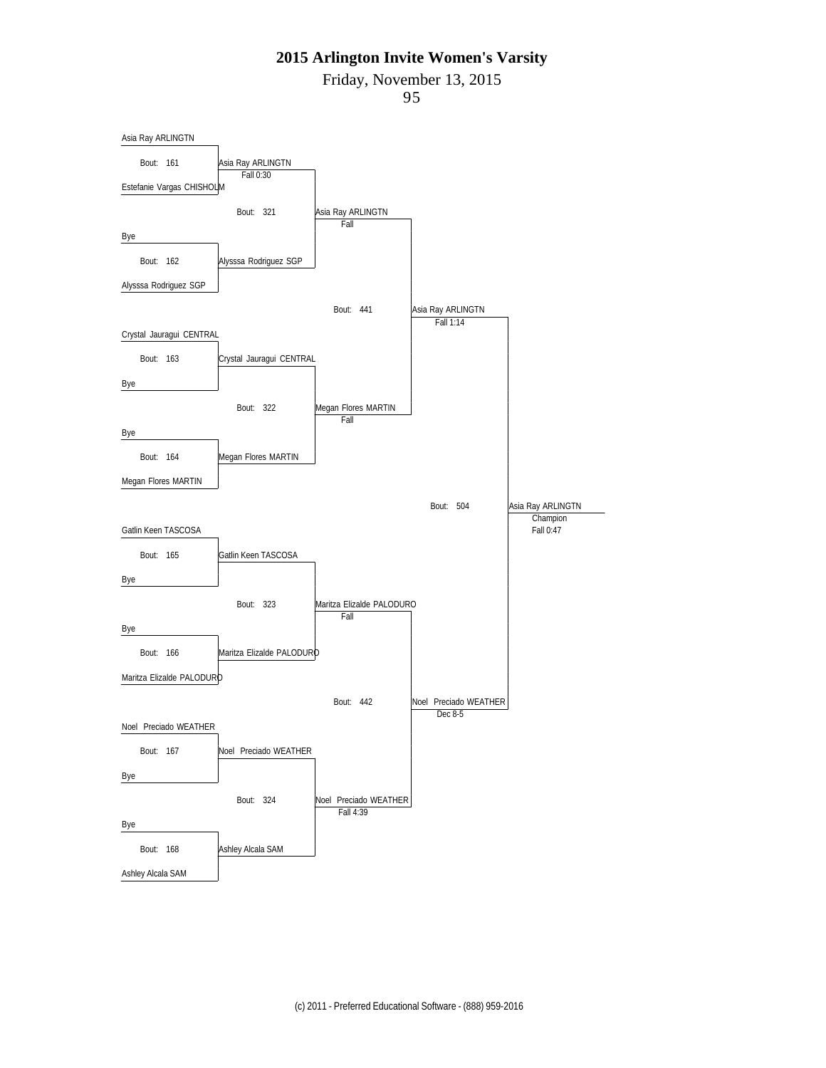Friday, November 13, 2015

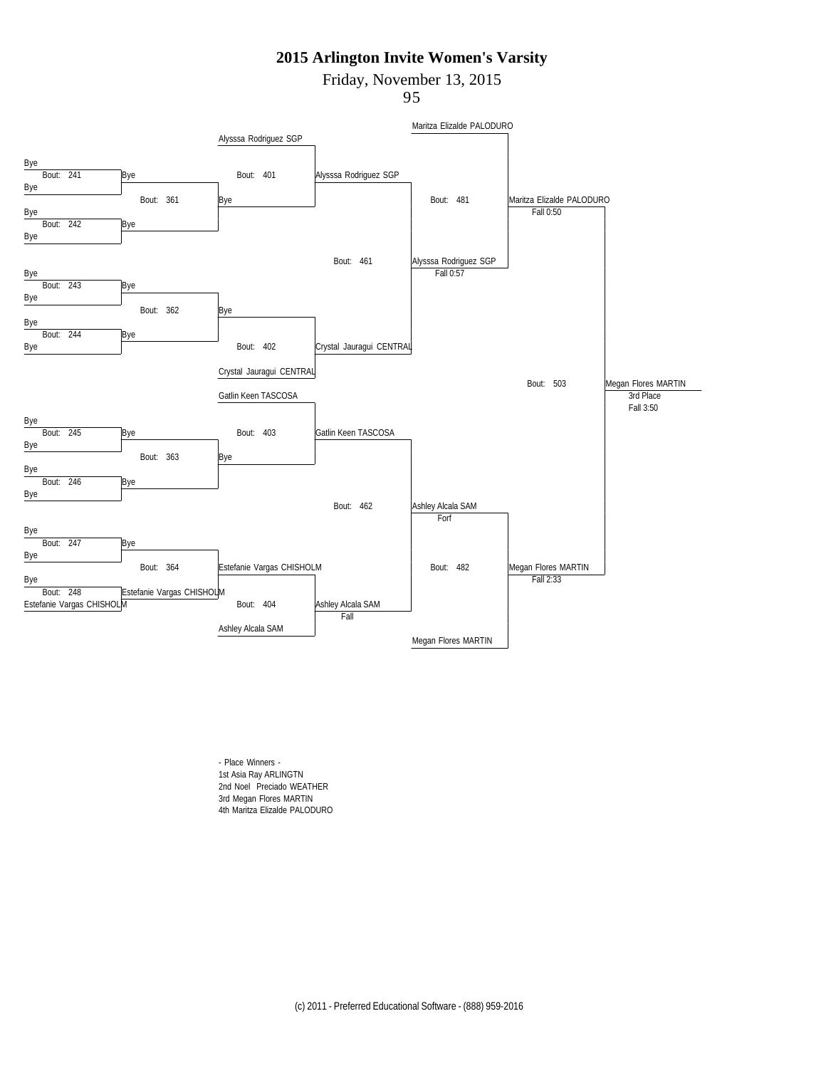Friday, November 13, 2015

95



- Place Winners - 1st Asia Ray ARLINGTN 2nd Noel Preciado WEATHER 3rd Megan Flores MARTIN 4th Maritza Elizalde PALODURO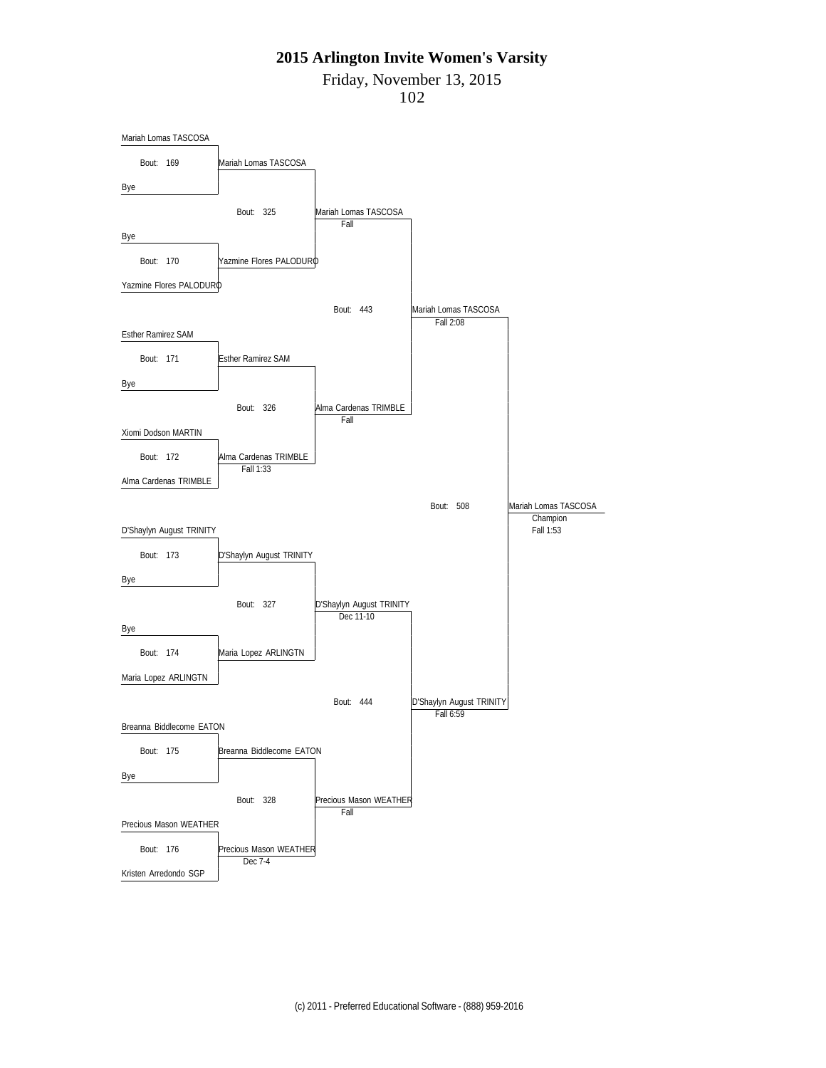Friday, November 13, 2015

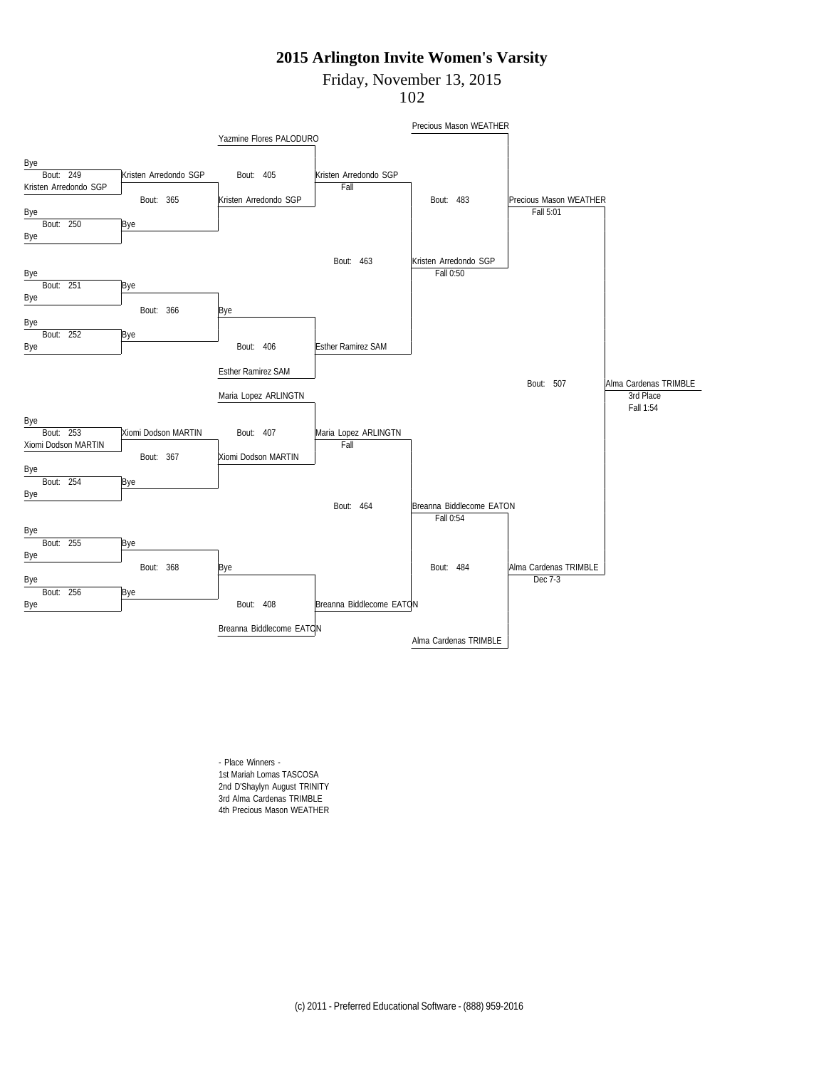Friday, November 13, 2015

102



- Place Winners - 1st Mariah Lomas TASCOSA 2nd D'Shaylyn August TRINITY 3rd Alma Cardenas TRIMBLE 4th Precious Mason WEATHER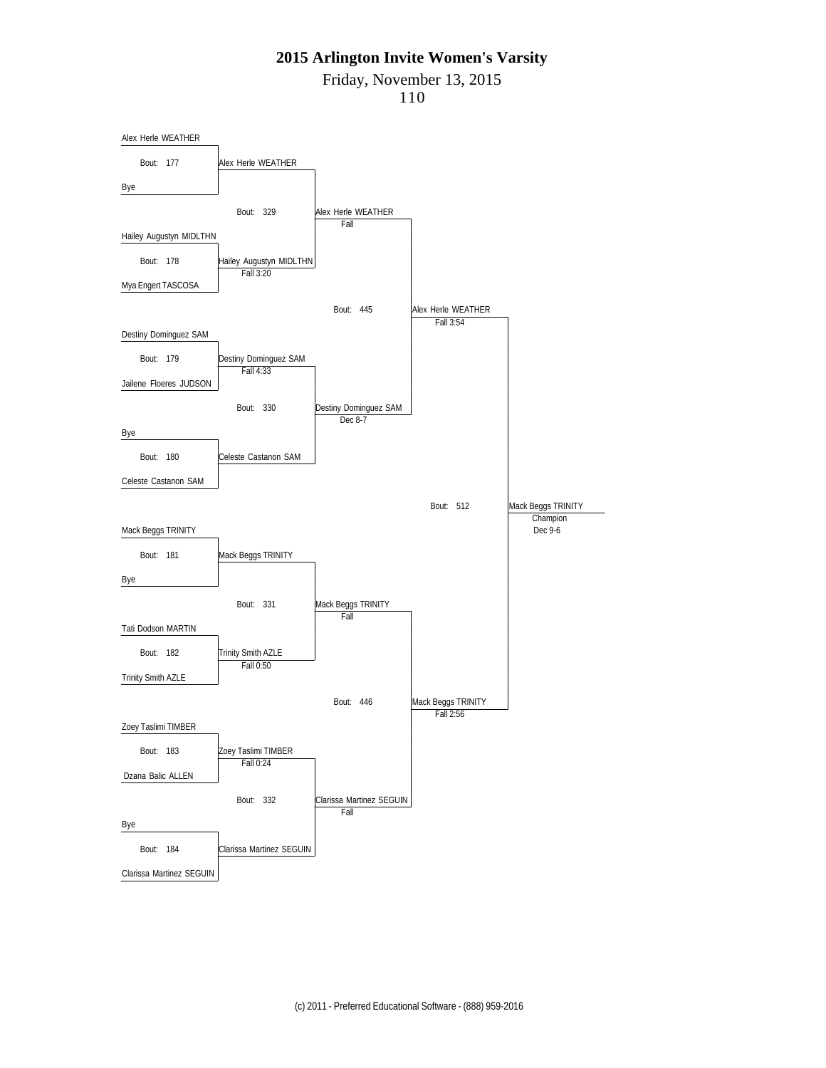Friday, November 13, 2015

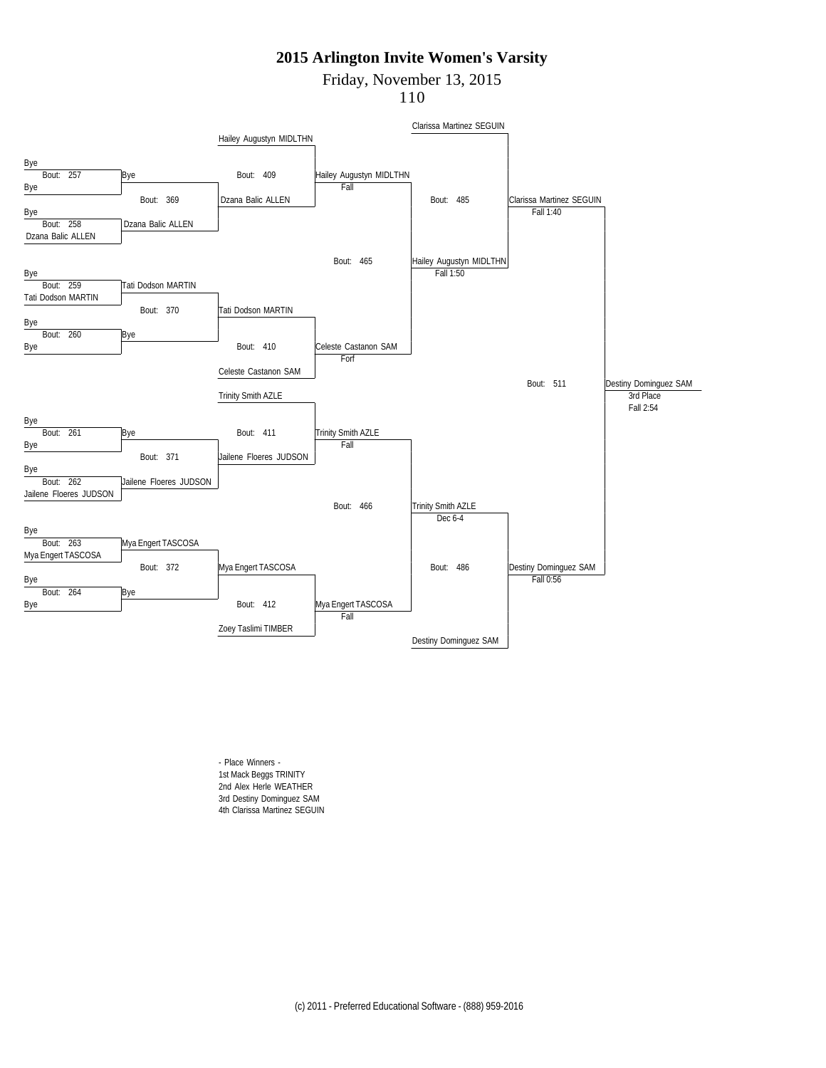Friday, November 13, 2015

110



- Place Winners - 1st Mack Beggs TRINITY 2nd Alex Herle WEATHER 3rd Destiny Dominguez SAM 4th Clarissa Martinez SEGUIN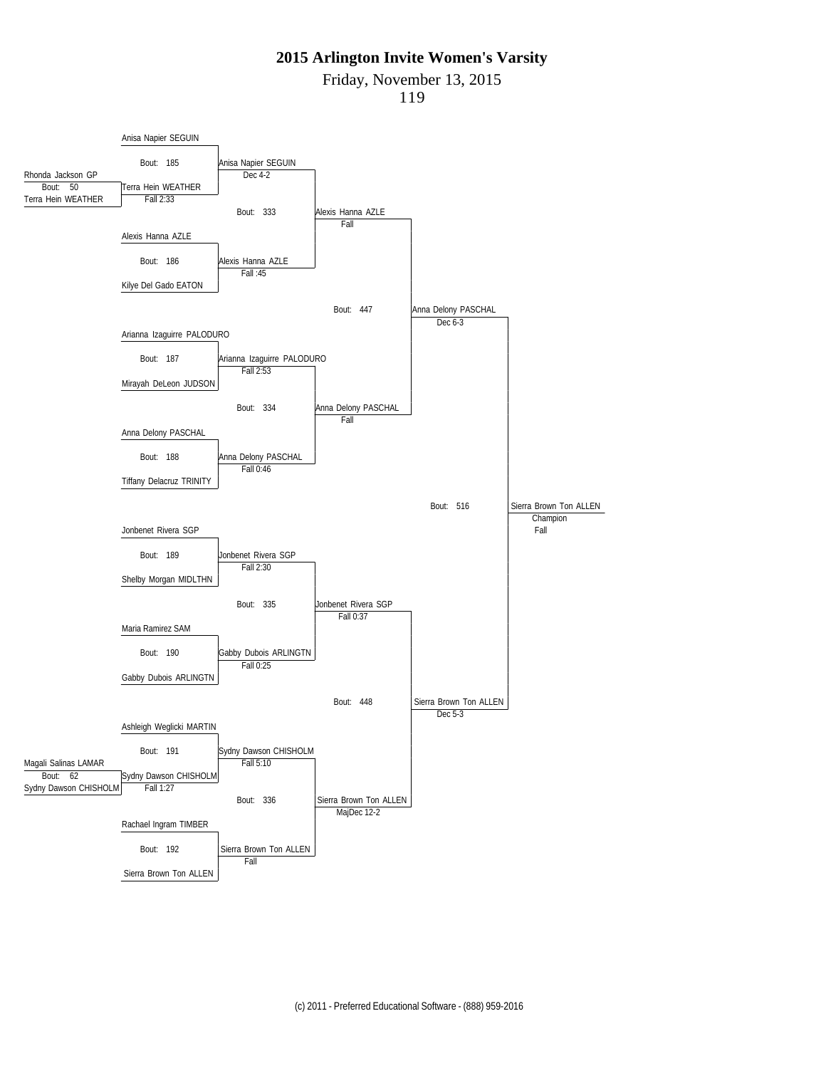Friday, November 13, 2015

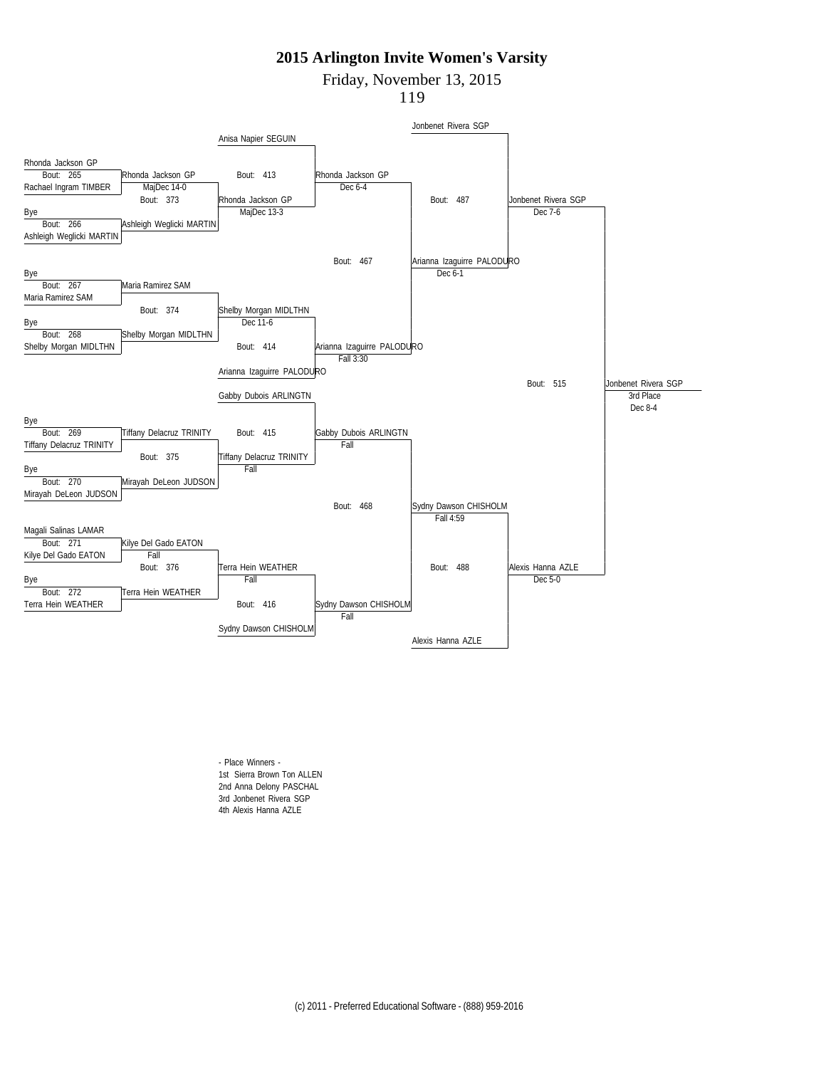Friday, November 13, 2015

119



- Place Winners - 1st Sierra Brown Ton ALLEN 2nd Anna Delony PASCHAL 3rd Jonbenet Rivera SGP 4th Alexis Hanna AZLE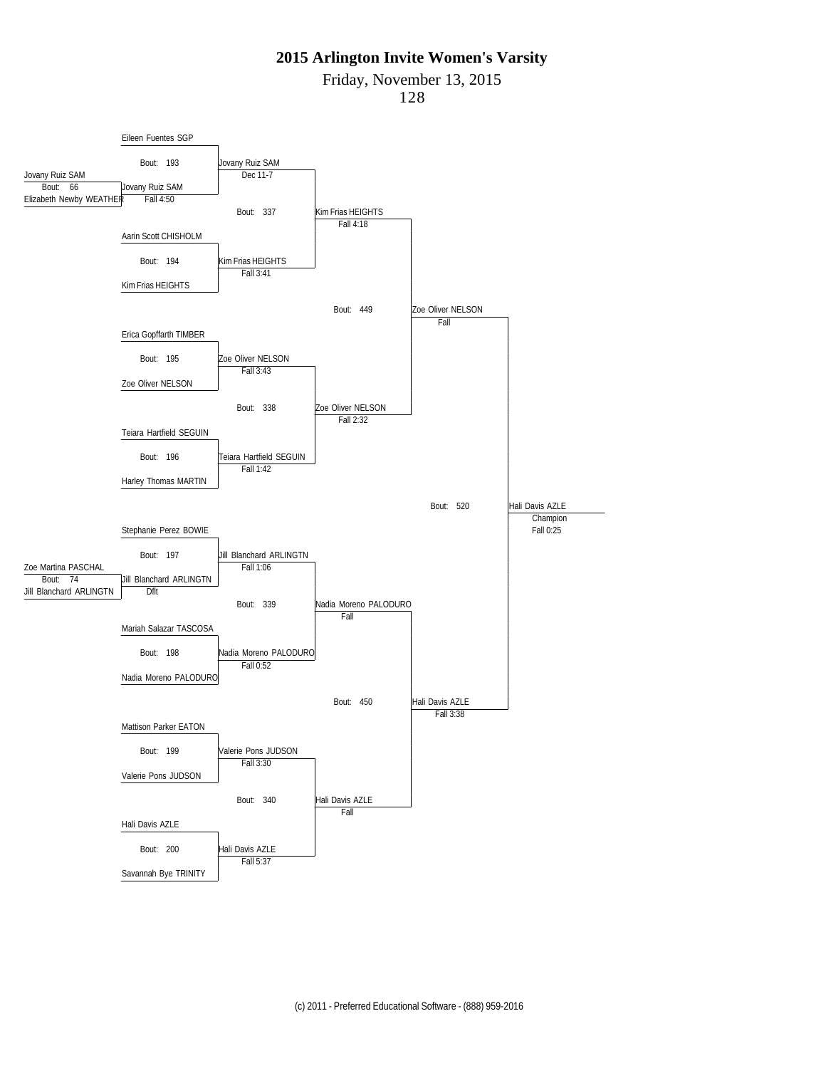Friday, November 13, 2015

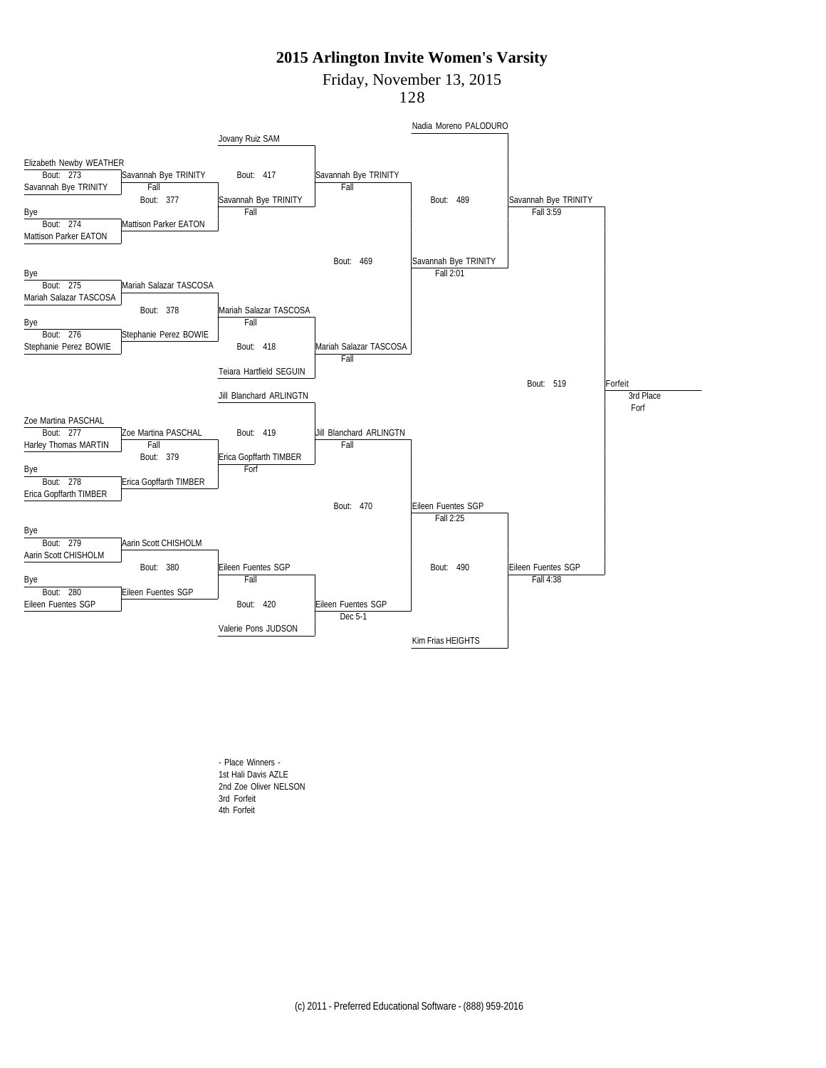Friday, November 13, 2015

128



- Place Winners - 1st Hali Davis AZLE 2nd Zoe Oliver NELSON 3rd Forfeit 4th Forfeit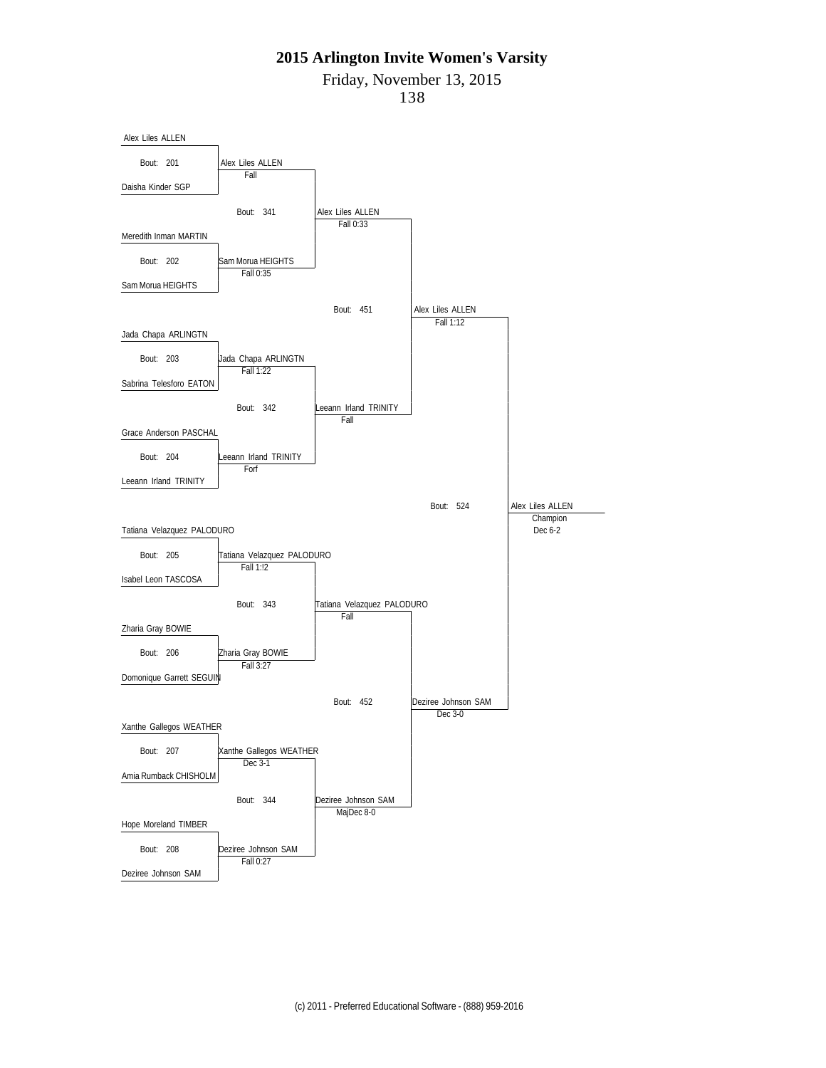Friday, November 13, 2015

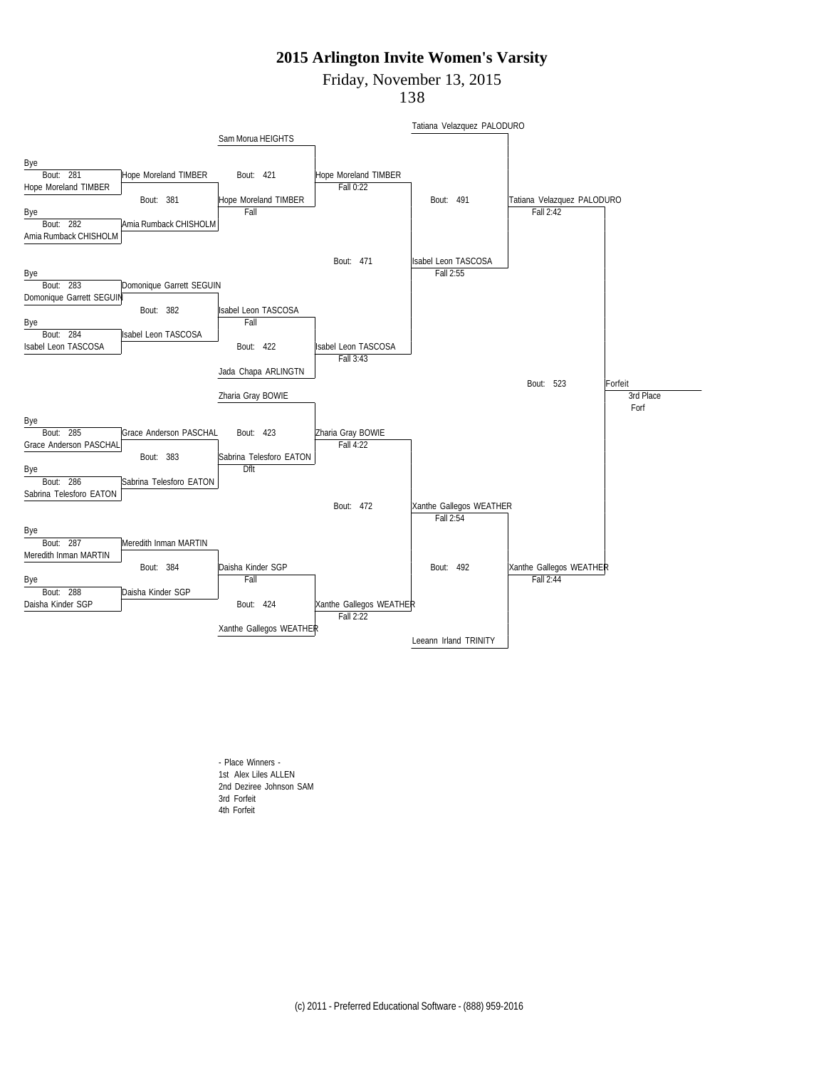Friday, November 13, 2015

138



- Place Winners - 1st Alex Liles ALLEN 2nd Deziree Johnson SAM 3rd Forfeit 4th Forfeit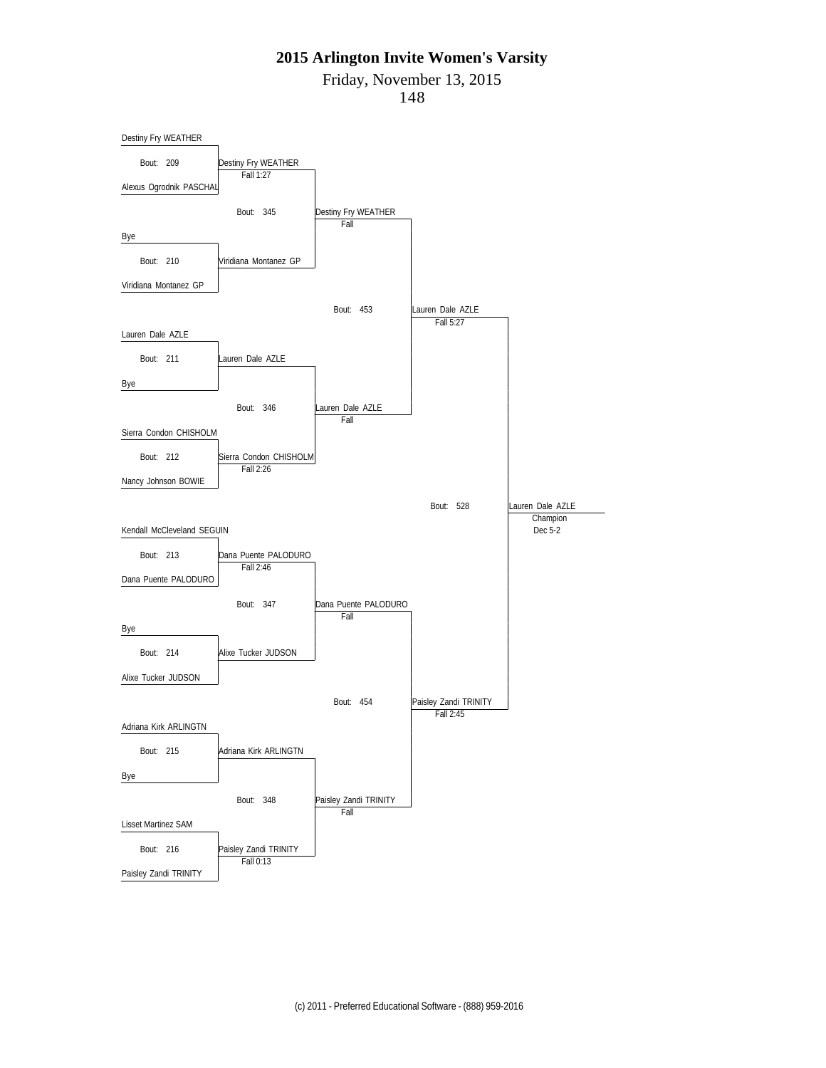Friday, November 13, 2015

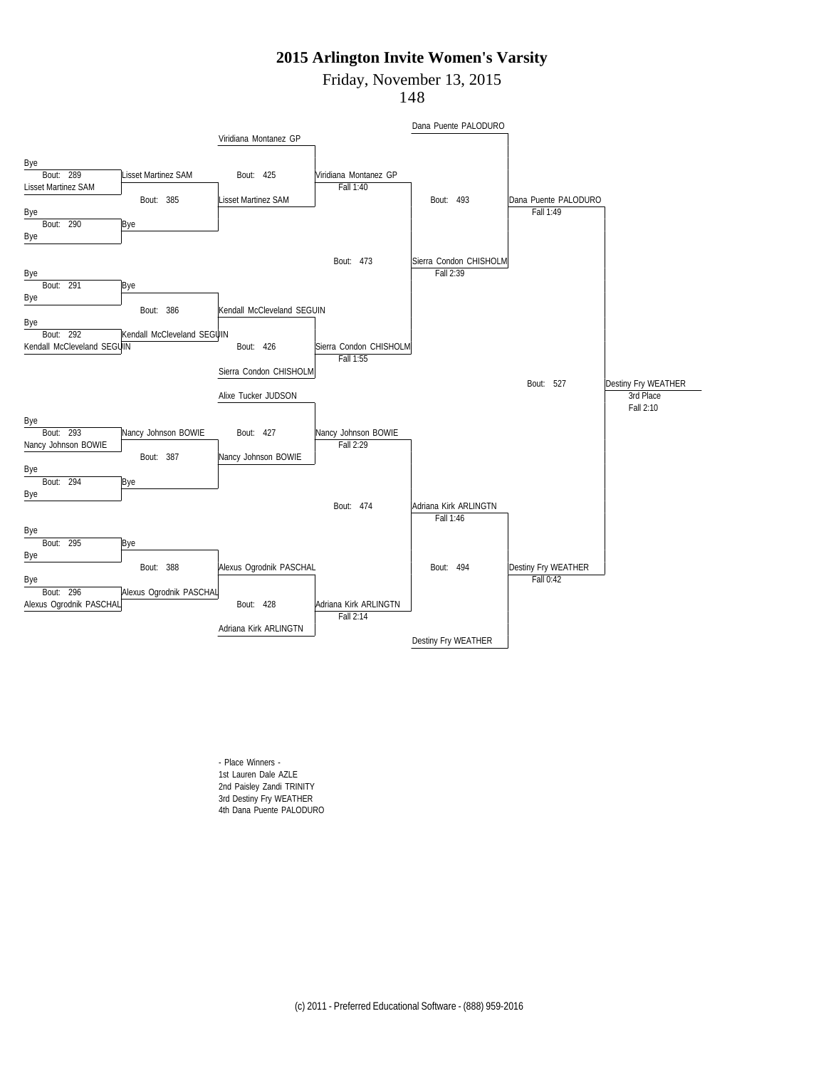Friday, November 13, 2015

148



- Place Winners - 1st Lauren Dale AZLE 2nd Paisley Zandi TRINITY 3rd Destiny Fry WEATHER 4th Dana Puente PALODURO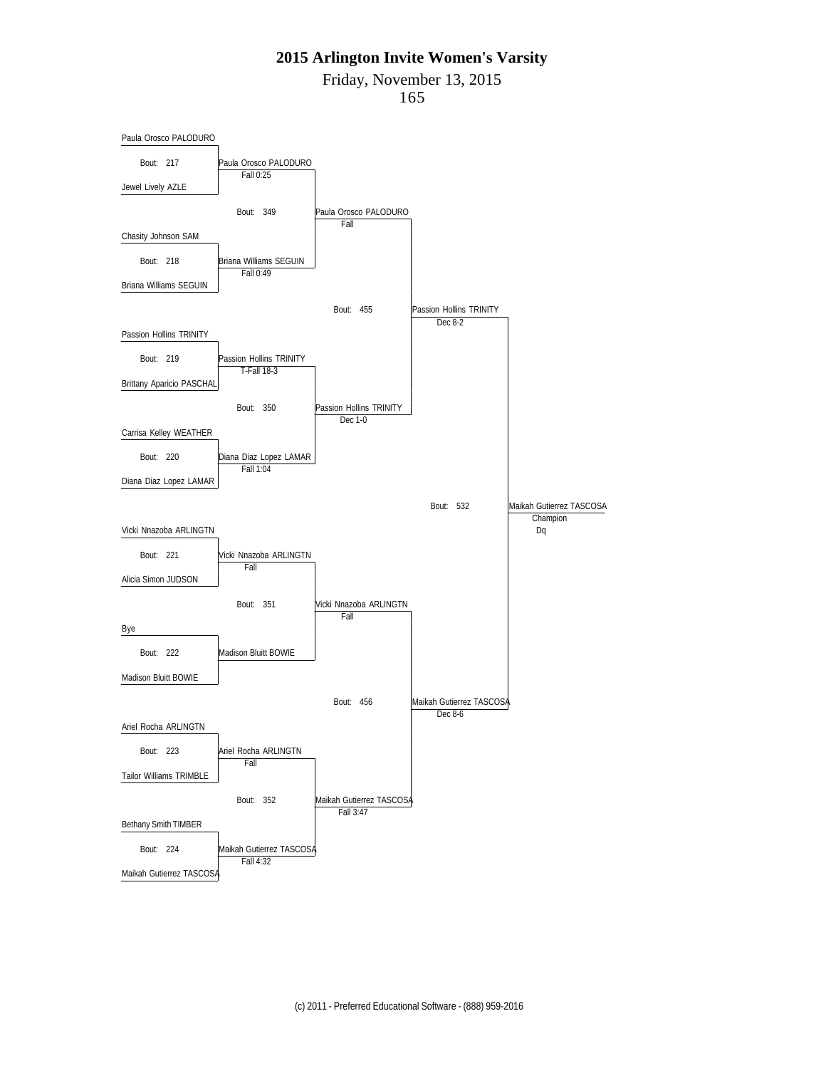Friday, November 13, 2015

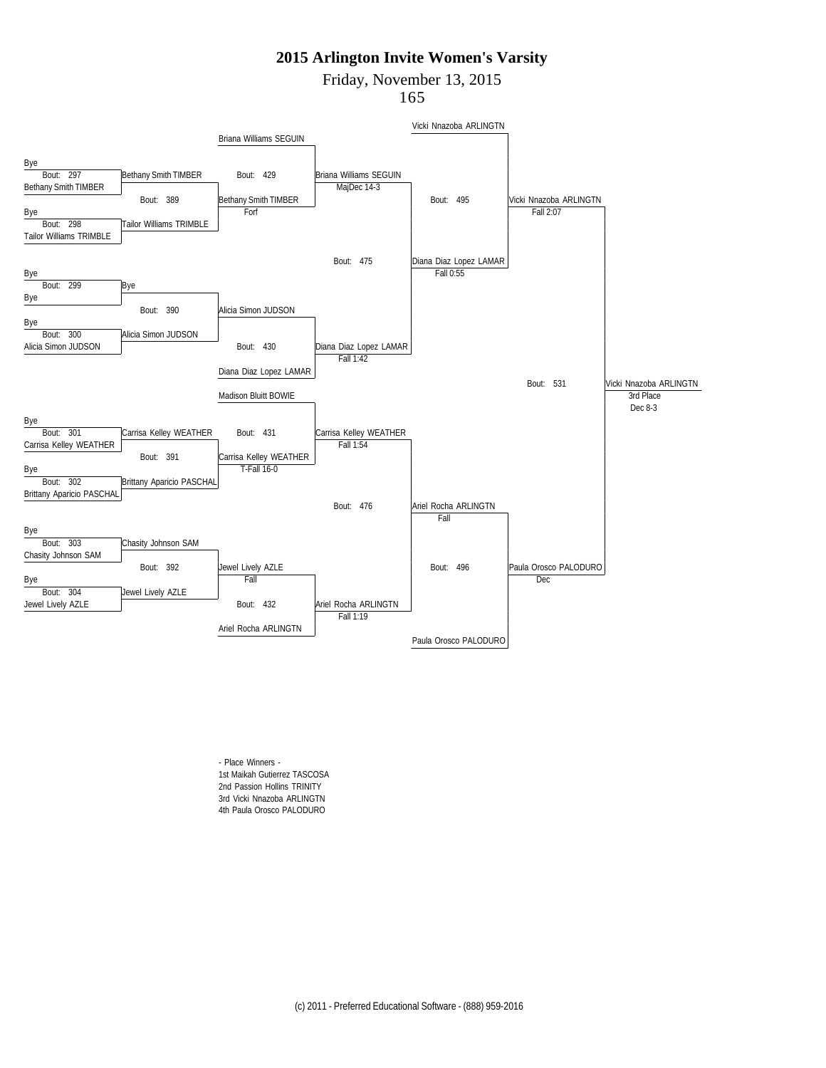Friday, November 13, 2015

165



- Place Winners - 1st Maikah Gutierrez TASCOSA 2nd Passion Hollins TRINITY 3rd Vicki Nnazoba ARLINGTN 4th Paula Orosco PALODURO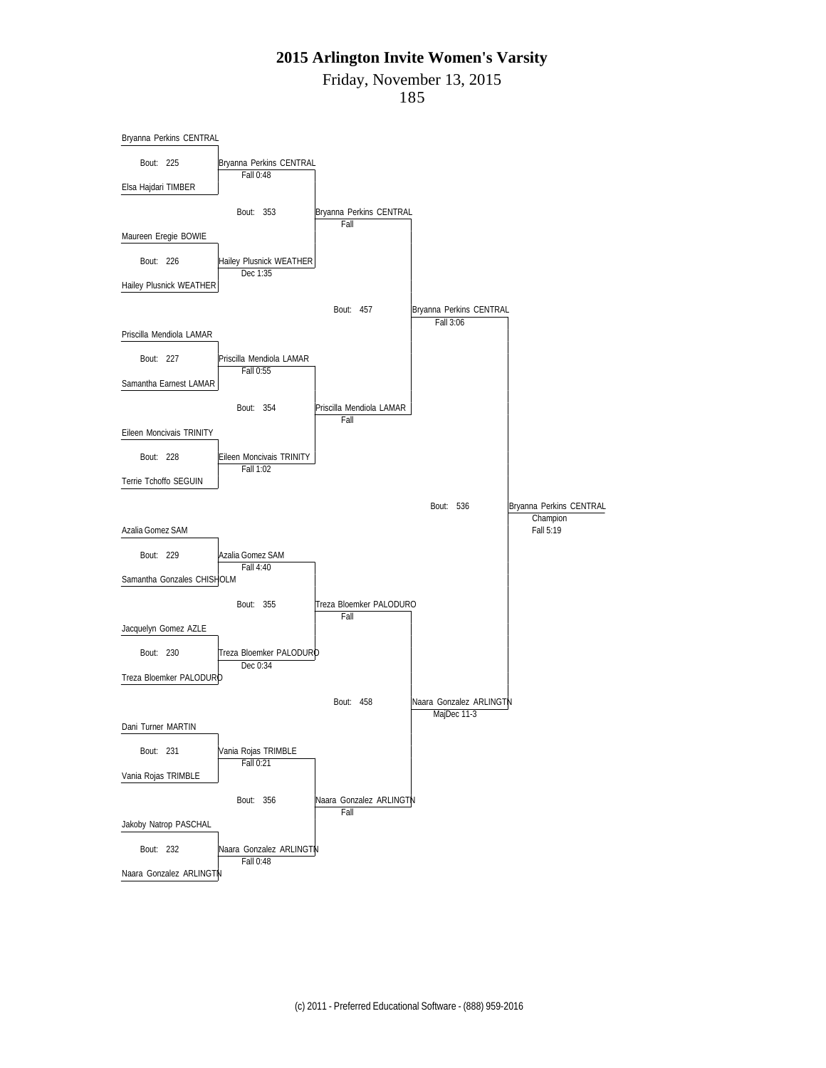Friday, November 13, 2015

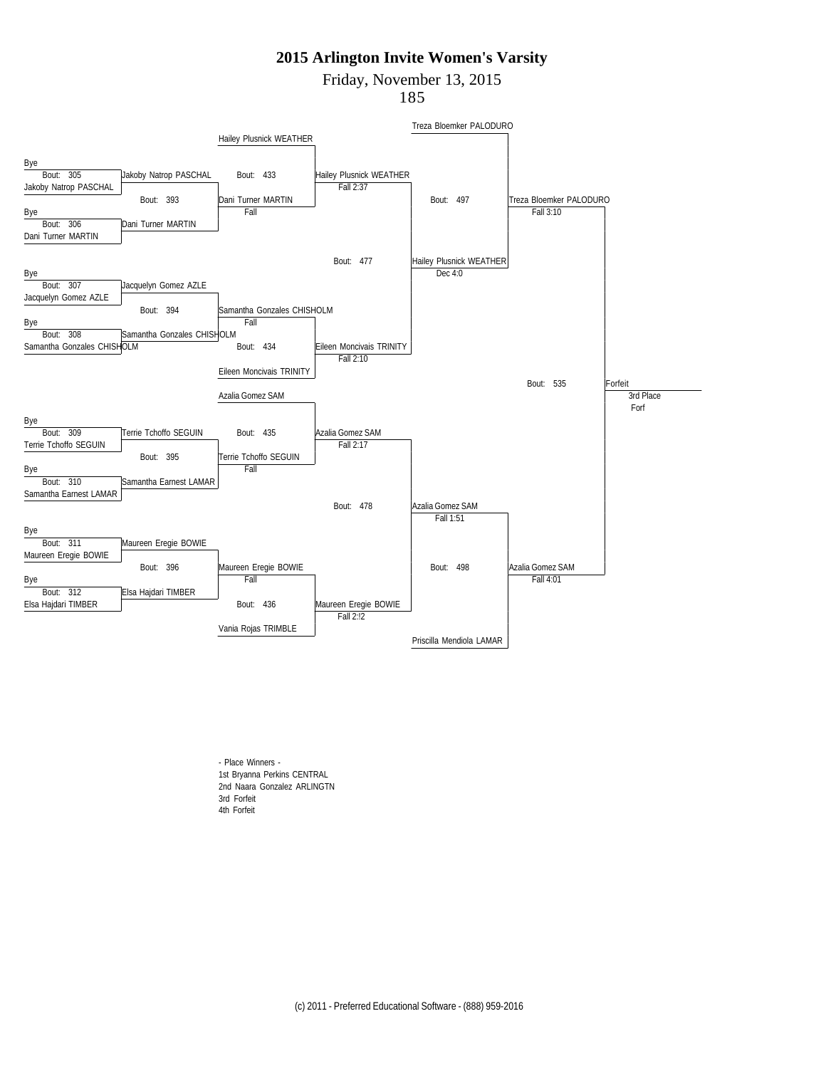Friday, November 13, 2015

185



- Place Winners - 1st Bryanna Perkins CENTRAL 2nd Naara Gonzalez ARLINGTN 3rd Forfeit 4th Forfeit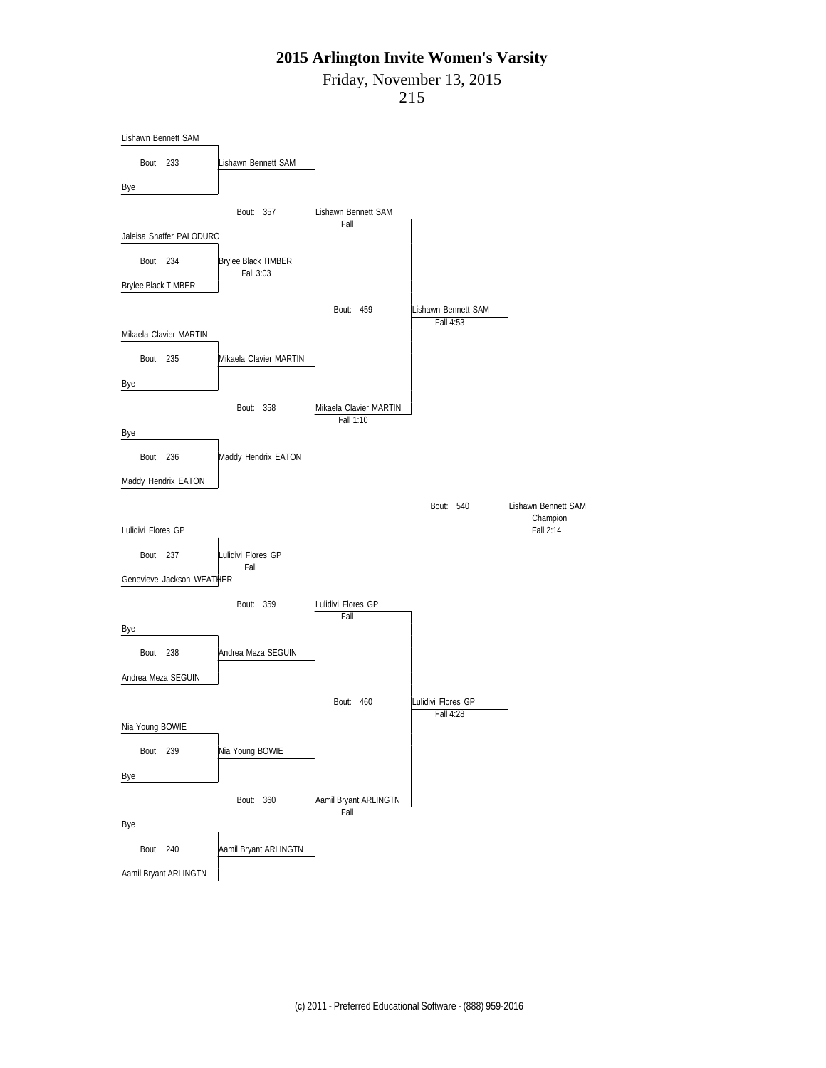Friday, November 13, 2015

![](_page_18_Figure_3.jpeg)